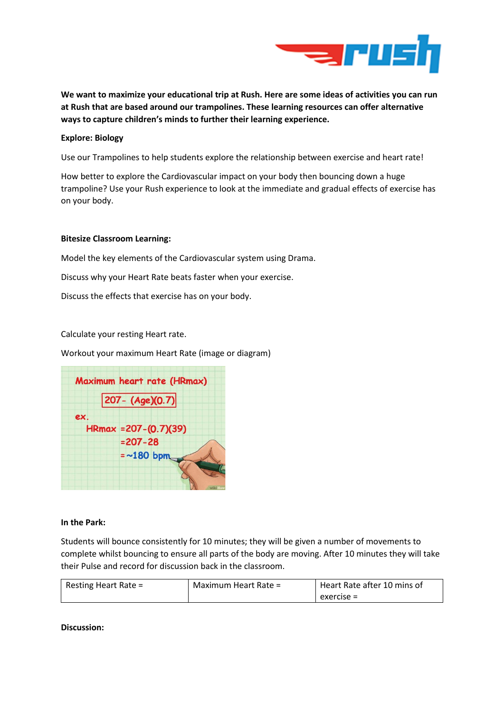

**We want to maximize your educational trip at Rush. Here are some ideas of activities you can run at Rush that are based around our trampolines. These learning resources can offer alternative ways to capture children's minds to further their learning experience.**

## **Explore: Biology**

Use our Trampolines to help students explore the relationship between exercise and heart rate!

How better to explore the Cardiovascular impact on your body then bouncing down a huge trampoline? Use your Rush experience to look at the immediate and gradual effects of exercise has on your body.

## **Bitesize Classroom Learning:**

Model the key elements of the Cardiovascular system using Drama.

Discuss why your Heart Rate beats faster when your exercise.

Discuss the effects that exercise has on your body.

# Calculate your resting Heart rate.

Workout your maximum Heart Rate (image or diagram)



## **In the Park:**

Students will bounce consistently for 10 minutes; they will be given a number of movements to complete whilst bouncing to ensure all parts of the body are moving. After 10 minutes they will take their Pulse and record for discussion back in the classroom.

| Resting Heart Rate = | Maximum Heart Rate = | Heart Rate after 10 mins of |
|----------------------|----------------------|-----------------------------|
|                      |                      | exercise =                  |

**Discussion:**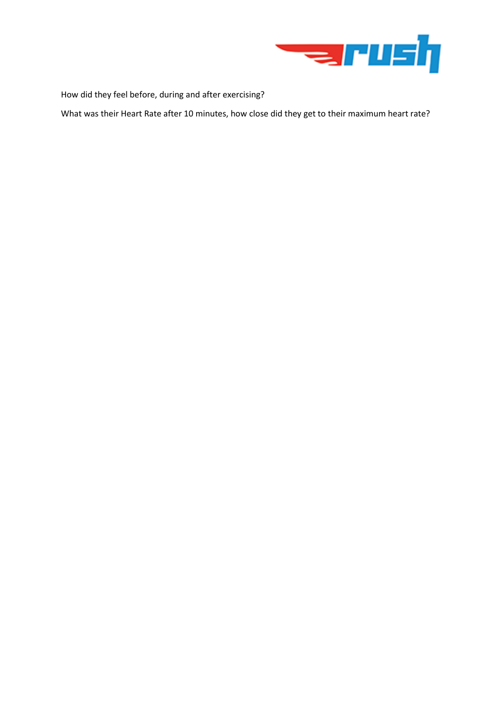

How did they feel before, during and after exercising?

What was their Heart Rate after 10 minutes, how close did they get to their maximum heart rate?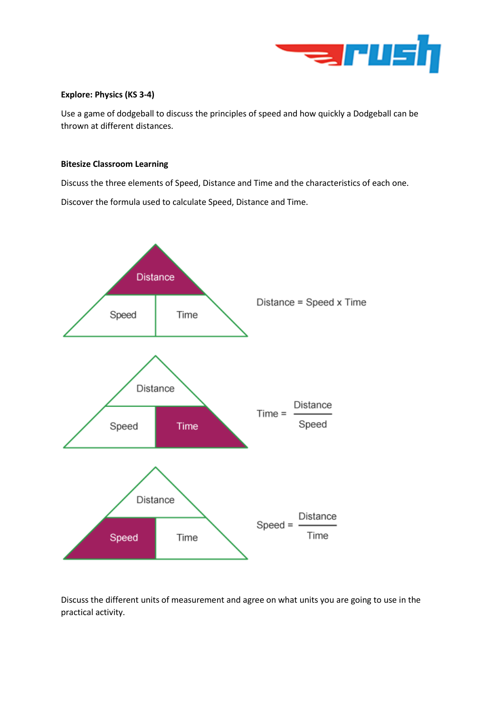

## **Explore: Physics (KS 3-4)**

Use a game of dodgeball to discuss the principles of speed and how quickly a Dodgeball can be thrown at different distances.

## **Bitesize Classroom Learning**

Discuss the three elements of Speed, Distance and Time and the characteristics of each one.

Discover the formula used to calculate Speed, Distance and Time.



Discuss the different units of measurement and agree on what units you are going to use in the practical activity.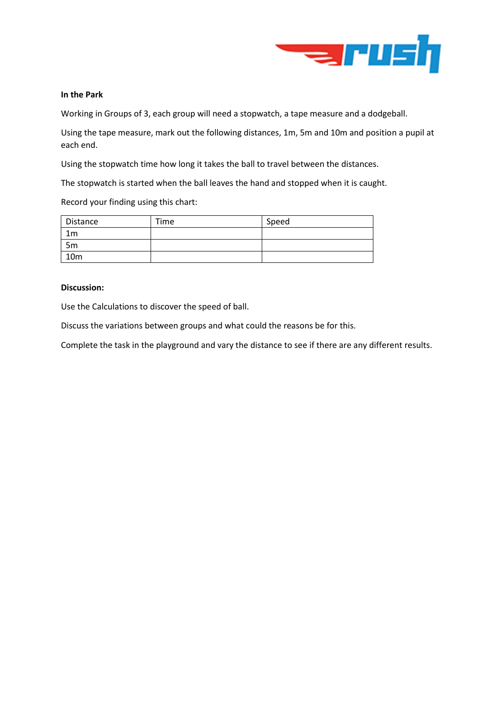

## **In the Park**

Working in Groups of 3, each group will need a stopwatch, a tape measure and a dodgeball.

Using the tape measure, mark out the following distances, 1m, 5m and 10m and position a pupil at each end.

Using the stopwatch time how long it takes the ball to travel between the distances.

The stopwatch is started when the ball leaves the hand and stopped when it is caught.

Record your finding using this chart:

| Distance        | Time | Speed |
|-----------------|------|-------|
| 1m              |      |       |
| 5 <sub>m</sub>  |      |       |
| 10 <sub>m</sub> |      |       |

### **Discussion:**

Use the Calculations to discover the speed of ball.

Discuss the variations between groups and what could the reasons be for this.

Complete the task in the playground and vary the distance to see if there are any different results.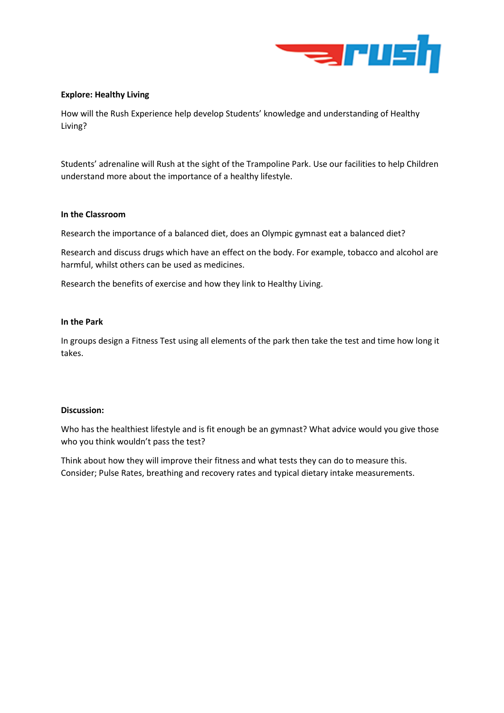

## **Explore: Healthy Living**

How will the Rush Experience help develop Students' knowledge and understanding of Healthy Living?

Students' adrenaline will Rush at the sight of the Trampoline Park. Use our facilities to help Children understand more about the importance of a healthy lifestyle.

## **In the Classroom**

Research the importance of a balanced diet, does an Olympic gymnast eat a balanced diet?

Research and discuss drugs which have an effect on the body. For example, tobacco and alcohol are harmful, whilst others can be used as medicines.

Research the benefits of exercise and how they link to Healthy Living.

# **In the Park**

In groups design a Fitness Test using all elements of the park then take the test and time how long it takes.

## **Discussion:**

Who has the healthiest lifestyle and is fit enough be an gymnast? What advice would you give those who you think wouldn't pass the test?

Think about how they will improve their fitness and what tests they can do to measure this. Consider; Pulse Rates, breathing and recovery rates and typical dietary intake measurements.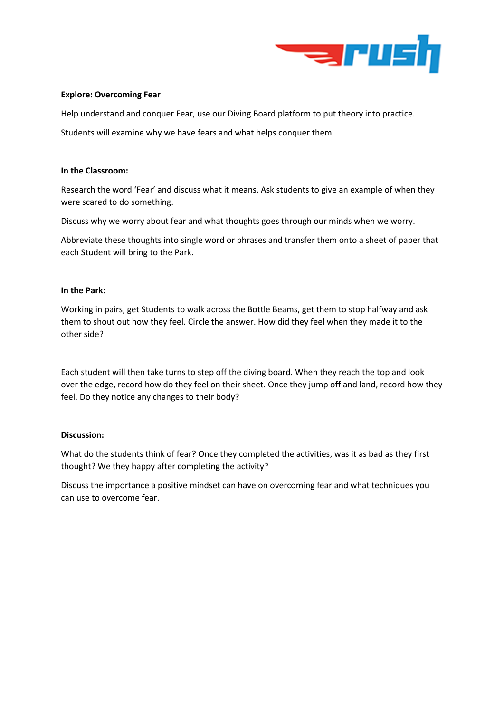

### **Explore: Overcoming Fear**

Help understand and conquer Fear, use our Diving Board platform to put theory into practice.

Students will examine why we have fears and what helps conquer them.

### **In the Classroom:**

Research the word 'Fear' and discuss what it means. Ask students to give an example of when they were scared to do something.

Discuss why we worry about fear and what thoughts goes through our minds when we worry.

Abbreviate these thoughts into single word or phrases and transfer them onto a sheet of paper that each Student will bring to the Park.

### **In the Park:**

Working in pairs, get Students to walk across the Bottle Beams, get them to stop halfway and ask them to shout out how they feel. Circle the answer. How did they feel when they made it to the other side?

Each student will then take turns to step off the diving board. When they reach the top and look over the edge, record how do they feel on their sheet. Once they jump off and land, record how they feel. Do they notice any changes to their body?

## **Discussion:**

What do the students think of fear? Once they completed the activities, was it as bad as they first thought? We they happy after completing the activity?

Discuss the importance a positive mindset can have on overcoming fear and what techniques you can use to overcome fear.